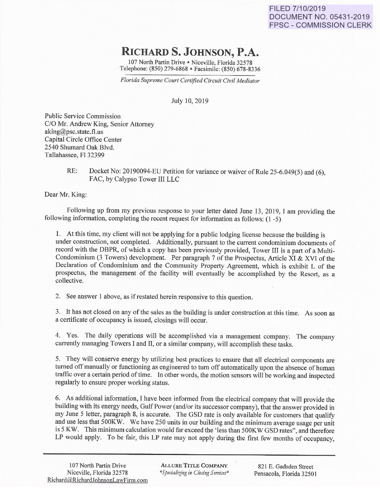## **RICHARDS. JOHNSON, P.A.**

107 North Partin Drive A Niceville, Florida 32578 Telephone: (850) 279-6868 A Facsimile: (850) 678-8336

*Florida Supreme Court Certified Circuit Civil Mediator* 

July 10,2019

Public Service Commission C/0 Mr. Andrew King, Senior Attorney aking@psc.state.fl.us Capital Circle Office Center 2540 Shumard Oak Blvd. Tallahassee, Fl 32399

> RE: Docket No: 20190094-EU Petition for variance or waiver of Rule 25-6.049(5) and (6), FAC, by Calypso Tower III LLC

Dear Mr. King:

Following up from my previous response to your letter dated June 13, 2019, I am providing the following information, completing the recent request for information as follows: (1 -5)

1. At this time, my client will not be applying for a public lodging license because the building is under construction, not completed. Additionally, pursuant to the current condominium documents of record with the DBPR, of which a copy has been previously provided, Tower III is a part of a Multi-Condominium (3 Towers) development. Per paragraph 7 of the Prospectus, Article XI & XVI of the Declaration of Condominium and the Community Property Agreement, which is exhibit L of the prospectus, the management of the facility will eventually be accomplished by the Resort, as a collective.

2. See answer 1 above, as if restated herein responsive to this question.

3. It has not closed on any of the sales as the building is under construction at this time. As soon as a certificate of occupancy is issued, closings will occur.

4. Yes. The daily operations will be accomplished via a management company. The company currently managing Towers I and II, or a similar company, will accomplish these tasks.

5. They will conserve energy by utilizing best practices to ensure that all electrical components are turned off manually or functioning as engineered to tum off automatically upon the absence of human traffic over a certain period of time. In other words, the motion sensors will be working and inspected regularly to ensure proper working status.

6. As additional information, I have been informed from the electrical company that will provide the building with its energy needs, Gulf Power (and/or its successor company), that the answer provided in my June 5 letter, paragraph 8, is accurate. The GSD rate is only available for customers that qualify and use less that 500KW. We have 250 units in our building and the minimum average usage per unit is 5 KW. This minimum calculation would far exceed the 'less than 500KW GSD rates", and therefore LP would apply. To be fair, this LP rate may not apply during the first few months of occupancy,

ALLURE TITLE COMPANY *\*Specialiifng in Closing Services\** 

821 E. Gadsden Street Pensacola, Florida 32501